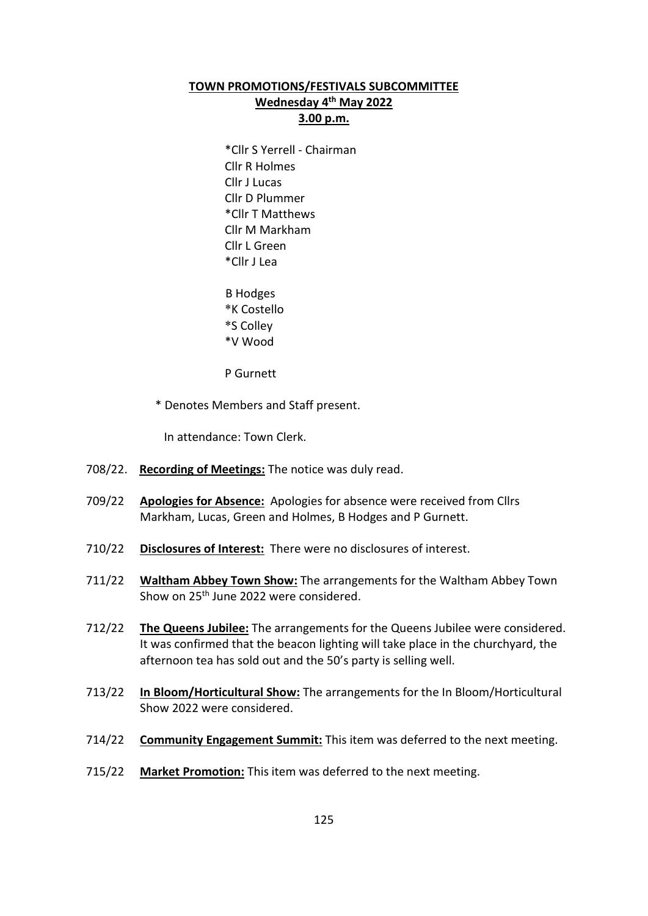## **TOWN PROMOTIONS/FESTIVALS SUBCOMMITTEE Wednesday 4th May 2022 3.00 p.m.**

\*Cllr S Yerrell - Chairman Cllr R Holmes Cllr J Lucas Cllr D Plummer \*Cllr T Matthews Cllr M Markham Cllr L Green \*Cllr J Lea

 B Hodges \*K Costello \*S Colley \*V Wood

P Gurnett

\* Denotes Members and Staff present.

In attendance: Town Clerk.

- 708/22. **Recording of Meetings:** The notice was duly read.
- 709/22 **Apologies for Absence:** Apologies for absence were received from Cllrs Markham, Lucas, Green and Holmes, B Hodges and P Gurnett.
- 710/22 **Disclosures of Interest:** There were no disclosures of interest.
- 711/22 **Waltham Abbey Town Show:** The arrangements for the Waltham Abbey Town Show on 25th June 2022 were considered.
- 712/22 **The Queens Jubilee:** The arrangements for the Queens Jubilee were considered. It was confirmed that the beacon lighting will take place in the churchyard, the afternoon tea has sold out and the 50's party is selling well.
- 713/22 **In Bloom/Horticultural Show:** The arrangements for the In Bloom/Horticultural Show 2022 were considered.
- 714/22 **Community Engagement Summit:** This item was deferred to the next meeting.
- 715/22 **Market Promotion:** This item was deferred to the next meeting.